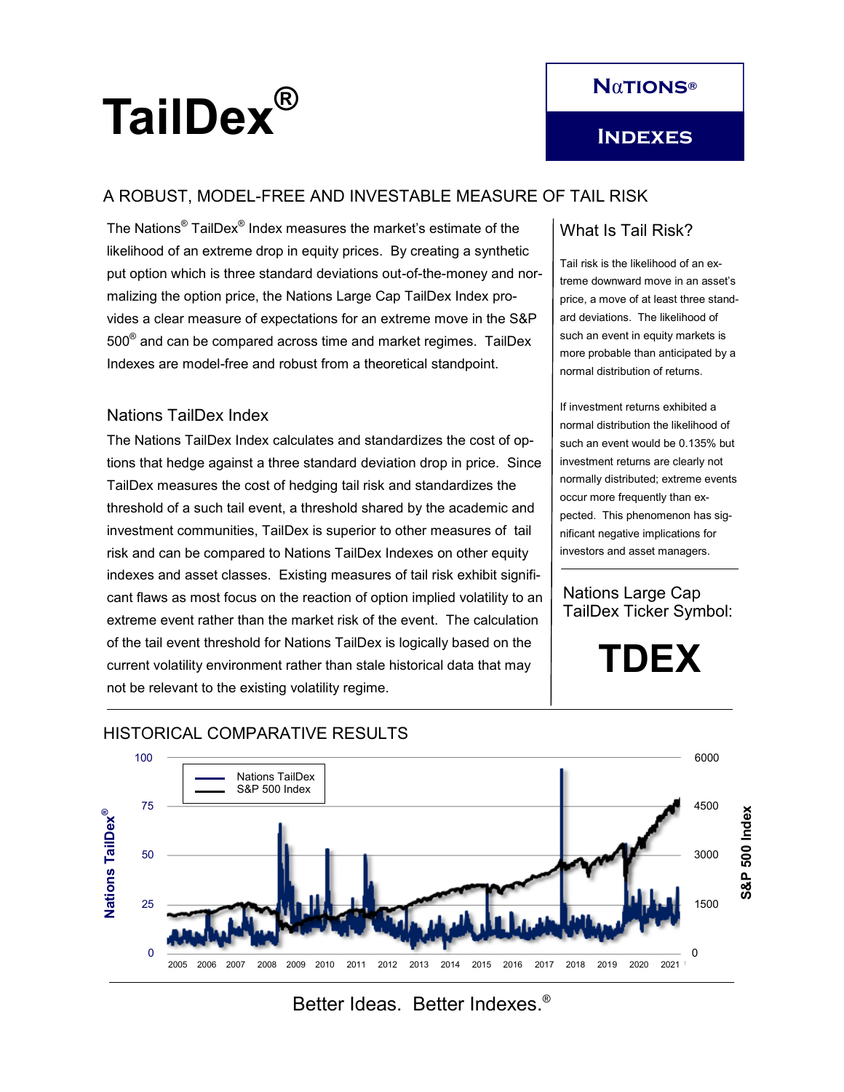

# TailDex<sup>®</sup>

# A ROBUST, MODEL-FREE AND INVESTABLE MEASURE OF TAIL RISK

The Nations $^\circledR$  TailDex $^\circledR$  Index measures the market's estimate of the likelihood of an extreme drop in equity prices. By creating a synthetic put option which is three standard deviations out-of-the-money and normalizing the option price, the Nations Large Cap TailDex Index provides a clear measure of expectations for an extreme move in the S&P  $500^\circ$  and can be compared across time and market regimes. TailDex Indexes are model-free and robust from a theoretical standpoint.

### Nations TailDex Index

The Nations TailDex Index calculates and standardizes the cost of options that hedge against a three standard deviation drop in price. Since TailDex measures the cost of hedging tail risk and standardizes the threshold of a such tail event, a threshold shared by the academic and investment communities, TailDex is superior to other measures of tail risk and can be compared to Nations TailDex Indexes on other equity indexes and asset classes. Existing measures of tail risk exhibit significant flaws as most focus on the reaction of option implied volatility to an extreme event rather than the market risk of the event. The calculation of the tail event threshold for Nations TailDex is logically based on the current volatility environment rather than stale historical data that may not be relevant to the existing volatility regime.

# What Is Tail Risk?

Tail risk is the likelihood of an extreme downward move in an asset's price, a move of at least three standard deviations. The likelihood of such an event in equity markets is more probable than anticipated by a normal distribution of returns.

If investment returns exhibited a normal distribution the likelihood of such an event would be 0.135% but investment returns are clearly not normally distributed; extreme events occur more frequently than expected. This phenomenon has significant negative implications for investors and asset managers.

Nations Large Cap TailDex Ticker Symbol:

**TDEX**



## HISTORICAL COMPARATIVE RESULTS

Better Ideas. Better Indexes.®